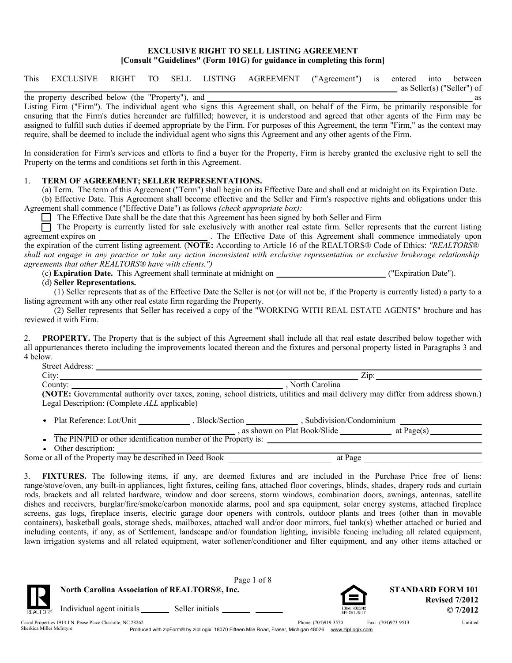### **EXCLUSIVE RIGHT TO SELL LISTING AGREEMENT [Consult "Guidelines" (Form 101G) for guidance in completing this form]**

| This           | EXCLUSIVE RIGHT                                                                                                                                                                                                                                                                                                                                                                                                                 | TO T |  |  | SELL LISTING AGREEMENT ("Agreement") is entered into |  | between<br>as Seller(s) ("Seller") of                                                                                                                                                                                                                                                                                                                                                                                                                                                                                                                                                                                                                                                                                                                                                                                                                                                                                                                                                                                                                                                |  |
|----------------|---------------------------------------------------------------------------------------------------------------------------------------------------------------------------------------------------------------------------------------------------------------------------------------------------------------------------------------------------------------------------------------------------------------------------------|------|--|--|------------------------------------------------------|--|--------------------------------------------------------------------------------------------------------------------------------------------------------------------------------------------------------------------------------------------------------------------------------------------------------------------------------------------------------------------------------------------------------------------------------------------------------------------------------------------------------------------------------------------------------------------------------------------------------------------------------------------------------------------------------------------------------------------------------------------------------------------------------------------------------------------------------------------------------------------------------------------------------------------------------------------------------------------------------------------------------------------------------------------------------------------------------------|--|
|                | the property described below (the "Property"), and<br>require, shall be deemed to include the individual agent who signs this Agreement and any other agents of the Firm.                                                                                                                                                                                                                                                       |      |  |  |                                                      |  | the property described below (the "Property"), and and the Agreement shall, on behalf of the Firm, be primarily responsible for Listing Firm ("Firm"). The individual agent who signs this Agreement shall, on behalf of the F<br>ensuring that the Firm's duties hereunder are fulfilled; however, it is understood and agreed that other agents of the Firm may be<br>assigned to fulfill such duties if deemed appropriate by the Firm. For purposes of this Agreement, the term "Firm," as the context may                                                                                                                                                                                                                                                                                                                                                                                                                                                                                                                                                                       |  |
|                | Property on the terms and conditions set forth in this Agreement.                                                                                                                                                                                                                                                                                                                                                               |      |  |  |                                                      |  | In consideration for Firm's services and efforts to find a buyer for the Property, Firm is hereby granted the exclusive right to sell the                                                                                                                                                                                                                                                                                                                                                                                                                                                                                                                                                                                                                                                                                                                                                                                                                                                                                                                                            |  |
| 1.             | TERM OF AGREEMENT; SELLER REPRESENTATIONS.<br>Agreement shall commence ("Effective Date") as follows (check appropriate box):<br>The Effective Date shall be the date that this Agreement has been signed by both Seller and Firm<br>agreements that other REALTORS® have with clients.")<br>(d) Seller Representations.<br>listing agreement with any other real estate firm regarding the Property.<br>reviewed it with Firm. |      |  |  |                                                      |  | (a) Term. The term of this Agreement ("Term") shall begin on its Effective Date and shall end at midnight on its Expiration Date.<br>(b) Effective Date. This Agreement shall become effective and the Seller and Firm's respective rights and obligations under this<br>The Property is currently listed for sale exclusively with another real estate firm. Seller represents that the current listing<br>the expiration of the current listing agreement. (NOTE: According to Article 16 of the REALTORS® Code of Ethics: "REALTORS®<br>shall not engage in any practice or take any action inconsistent with exclusive representation or exclusive brokerage relationship<br>(1) Seller represents that as of the Effective Date the Seller is not (or will not be, if the Property is currently listed) a party to a<br>(2) Seller represents that Seller has received a copy of the "WORKING WITH REAL ESTATE AGENTS" brochure and has<br><b>PROPERTY.</b> The Property that is the subject of this Agreement shall include all that real estate described below together with |  |
| 2.<br>4 below. |                                                                                                                                                                                                                                                                                                                                                                                                                                 |      |  |  |                                                      |  | all appurtenances thereto including the improvements located thereon and the fixtures and personal property listed in Paragraphs 3 and                                                                                                                                                                                                                                                                                                                                                                                                                                                                                                                                                                                                                                                                                                                                                                                                                                                                                                                                               |  |
|                |                                                                                                                                                                                                                                                                                                                                                                                                                                 |      |  |  |                                                      |  |                                                                                                                                                                                                                                                                                                                                                                                                                                                                                                                                                                                                                                                                                                                                                                                                                                                                                                                                                                                                                                                                                      |  |
|                |                                                                                                                                                                                                                                                                                                                                                                                                                                 |      |  |  |                                                      |  | City: <u>Current County:</u> Current Carolina Current Carolina Current Current Current Current Current Current Current Current Current Current Current Current Current Current Current Current Current Current Current Current Curr                                                                                                                                                                                                                                                                                                                                                                                                                                                                                                                                                                                                                                                                                                                                                                                                                                                  |  |
|                | Legal Description: (Complete ALL applicable)                                                                                                                                                                                                                                                                                                                                                                                    |      |  |  |                                                      |  | (NOTE: Governmental authority over taxes, zoning, school districts, utilities and mail delivery may differ from address shown.)                                                                                                                                                                                                                                                                                                                                                                                                                                                                                                                                                                                                                                                                                                                                                                                                                                                                                                                                                      |  |
|                | • Plat Reference: Lot/Unit _____________, Block/Section ____________, Subdivision/Condominium ___________                                                                                                                                                                                                                                                                                                                       |      |  |  |                                                      |  |                                                                                                                                                                                                                                                                                                                                                                                                                                                                                                                                                                                                                                                                                                                                                                                                                                                                                                                                                                                                                                                                                      |  |
|                | The PIN/PID or other identification number of the Property is: $\frac{1}{\sqrt{1-\frac{1}{n}}}\cos\left(\frac{1}{n}\right)$ at Page(s) $\frac{1}{\sqrt{1-\frac{1}{n}}}\sin\left(\frac{1}{n}\right)$<br>• Other description:                                                                                                                                                                                                     |      |  |  |                                                      |  |                                                                                                                                                                                                                                                                                                                                                                                                                                                                                                                                                                                                                                                                                                                                                                                                                                                                                                                                                                                                                                                                                      |  |
|                | • Other description:<br>Some or all of the Property may be described in Deed Book                                                                                                                                                                                                                                                                                                                                               |      |  |  |                                                      |  |                                                                                                                                                                                                                                                                                                                                                                                                                                                                                                                                                                                                                                                                                                                                                                                                                                                                                                                                                                                                                                                                                      |  |
| 3.             |                                                                                                                                                                                                                                                                                                                                                                                                                                 |      |  |  |                                                      |  | FIXTURES. The following items, if any, are deemed fixtures and are included in the Purchase Price free of liens:<br>range/stove/oven, any built-in appliances, light fixtures, ceiling fans, attached floor coverings, blinds, shades, drapery rods and curtain<br>asia basebata and ell achierd designations considered de comparente activitation de la designation de consideration established de la de la de la de la de la de la de la de la de la de la de la de la de la de la de la de l                                                                                                                                                                                                                                                                                                                                                                                                                                                                                                                                                                                    |  |

rods, brackets and all related hardware, window and door screens, storm windows, combination doors, awnings, antennas, satellite dishes and receivers, burglar/fire/smoke/carbon monoxide alarms, pool and spa equipment, solar energy systems, attached fireplace screens, gas logs, fireplace inserts, electric garage door openers with controls, outdoor plants and trees (other than in movable containers), basketball goals, storage sheds, mailboxes, attached wall and/or door mirrors, fuel tank(s) whether attached or buried and including contents, if any, as of Settlement, landscape and/or foundation lighting, invisible fencing including all related equipment, lawn irrigation systems and all related equipment, water softener/conditioner and filter equipment, and any other items attached or

|                          |                                                            | Page 1 of 8                                                                        |  |                                     |                    |                          |  |
|--------------------------|------------------------------------------------------------|------------------------------------------------------------------------------------|--|-------------------------------------|--------------------|--------------------------|--|
|                          | North Carolina Association of REALTORS®, Inc.<br>$\sum$    |                                                                                    |  |                                     |                    | <b>STANDARD FORM 101</b> |  |
|                          |                                                            |                                                                                    |  |                                     |                    | <b>Revised 7/2012</b>    |  |
| <u>шр</u><br>REALTOR®    | Individual agent initials                                  | Seller initials                                                                    |  | EQUAL HOUSING<br><b>OPPORTUNITY</b> |                    | $\odot$ 7/2012           |  |
|                          | Carod Properties 1914 J.N. Pease Place Charlotte, NC 28262 |                                                                                    |  | Phone: (704)919-3570                | Fax: (704)973-9513 | Untitled                 |  |
| Sherkica Miller McIntyre |                                                            | Produced with zipForm® by zipLogix 18070 Fifteen Mile Road, Fraser, Michigan 48026 |  | www.zipLogix.com                    |                    |                          |  |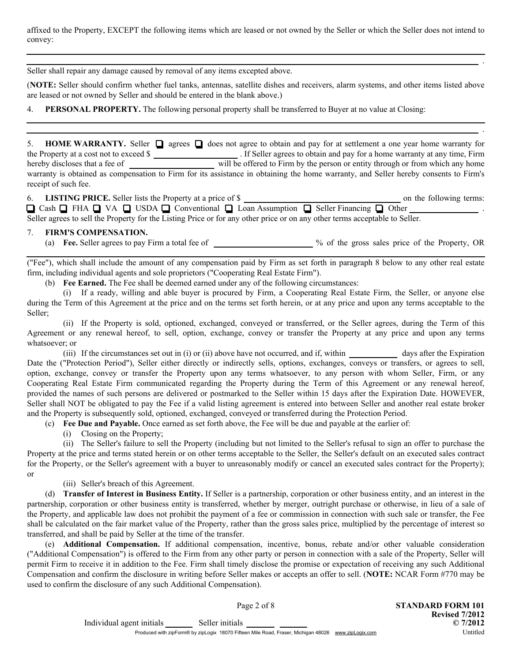affixed to the Property, EXCEPT the following items which are leased or not owned by the Seller or which the Seller does not intend to convey:

Seller shall repair any damage caused by removal of any items excepted above.

(**NOTE:** Seller should confirm whether fuel tanks, antennas, satellite dishes and receivers, alarm systems, and other items listed above are leased or not owned by Seller and should be entered in the blank above.)

4. **PERSONAL PROPERTY.** The following personal property shall be transferred to Buyer at no value at Closing:

5. **HOME WARRANTY.** Seller  $\Box$  agrees  $\Box$  does not agree to obtain and pay for at settlement a one year home warranty for the Property at a cost not to exceed \$ hereby discloses that a fee of will be offered to Firm by the person or entity through or from which any home warranty is obtained as compensation to Firm for its assistance in obtaining the home warranty, and Seller hereby consents to Firm's receipt of such fee.

| 6. <b>LISTING PRICE.</b> Seller lists the Property at a price of \$                                                          | on the following terms: |
|------------------------------------------------------------------------------------------------------------------------------|-------------------------|
| $\Box$ Cash $\Box$ FHA $\Box$ VA $\Box$ USDA $\Box$ Conventional $\Box$ Loan Assumption $\Box$ Seller Financing $\Box$ Other |                         |
| Seller agrees to sell the Property for the Listing Price or for any other price or on any other terms acceptable to Seller.  |                         |

#### 7. **FIRM'S COMPENSATION.**

(a) **Fee.** Seller agrees to pay Firm a total fee of % of the gross sales price of the Property, OR

("Fee"), which shall include the amount of any compensation paid by Firm as set forth in paragraph 8 below to any other real estate firm, including individual agents and sole proprietors ("Cooperating Real Estate Firm").

(b) **Fee Earned.** The Fee shall be deemed earned under any of the following circumstances:

(i) If a ready, willing and able buyer is procured by Firm, a Cooperating Real Estate Firm, the Seller, or anyone else during the Term of this Agreement at the price and on the terms set forth herein, or at any price and upon any terms acceptable to the Seller;

(ii) If the Property is sold, optioned, exchanged, conveyed or transferred, or the Seller agrees, during the Term of this Agreement or any renewal hereof, to sell, option, exchange, convey or transfer the Property at any price and upon any terms whatsoever; or

(iii) If the circumstances set out in (i) or (ii) above have not occurred, and if, within  $\Box$  days after the Expiration Date the ("Protection Period"), Seller either directly or indirectly sells, options, exchanges, conveys or transfers, or agrees to sell, option, exchange, convey or transfer the Property upon any terms whatsoever, to any person with whom Seller, Firm, or any Cooperating Real Estate Firm communicated regarding the Property during the Term of this Agreement or any renewal hereof, provided the names of such persons are delivered or postmarked to the Seller within 15 days after the Expiration Date. HOWEVER, Seller shall NOT be obligated to pay the Fee if a valid listing agreement is entered into between Seller and another real estate broker and the Property is subsequently sold, optioned, exchanged, conveyed or transferred during the Protection Period.

(c) **Fee Due and Payable.** Once earned as set forth above, the Fee will be due and payable at the earlier of:

(i) Closing on the Property;

(ii) The Seller's failure to sell the Property (including but not limited to the Seller's refusal to sign an offer to purchase the Property at the price and terms stated herein or on other terms acceptable to the Seller, the Seller's default on an executed sales contract for the Property, or the Seller's agreement with a buyer to unreasonably modify or cancel an executed sales contract for the Property); or

(iii) Seller's breach of this Agreement.

(d) **Transfer of Interest in Business Entity.** If Seller is a partnership, corporation or other business entity, and an interest in the partnership, corporation or other business entity is transferred, whether by merger, outright purchase or otherwise, in lieu of a sale of the Property, and applicable law does not prohibit the payment of a fee or commission in connection with such sale or transfer, the Fee shall be calculated on the fair market value of the Property, rather than the gross sales price, multiplied by the percentage of interest so transferred, and shall be paid by Seller at the time of the transfer.

(e) **Additional Compensation.** If additional compensation, incentive, bonus, rebate and/or other valuable consideration ("Additional Compensation") is offered to the Firm from any other party or person in connection with a sale of the Property, Seller will permit Firm to receive it in addition to the Fee. Firm shall timely disclose the promise or expectation of receiving any such Additional Compensation and confirm the disclosure in writing before Seller makes or accepts an offer to sell. (**NOTE:** NCAR Form #770 may be used to confirm the disclosure of any such Additional Compensation).

.

.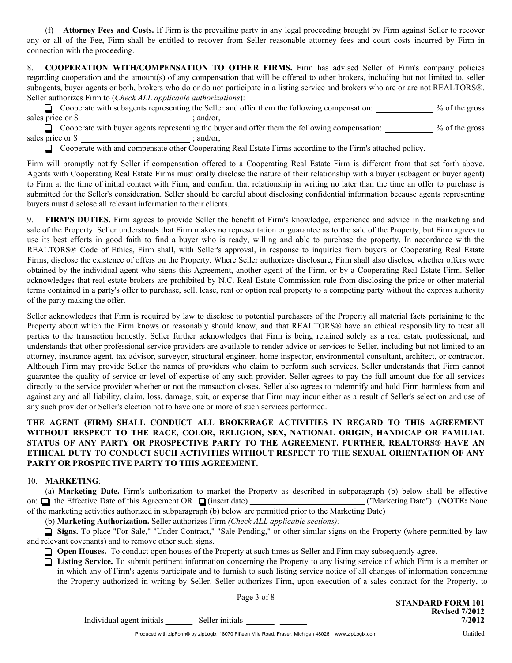(f) **Attorney Fees and Costs.** If Firm is the prevailing party in any legal proceeding brought by Firm against Seller to recover any or all of the Fee, Firm shall be entitled to recover from Seller reasonable attorney fees and court costs incurred by Firm in connection with the proceeding.

8. **COOPERATION WITH/COMPENSATION TO OTHER FIRMS.** Firm has advised Seller of Firm's company policies regarding cooperation and the amount(s) of any compensation that will be offered to other brokers, including but not limited to, seller subagents, buyer agents or both, brokers who do or do not participate in a listing service and brokers who are or are not REALTORS®. Seller authorizes Firm to (*Check ALL applicable authorizations*):

Cooperate with subagents representing the Seller and offer them the following compensation: \_\_\_\_\_\_\_\_\_\_\_\_ % of the gross sales price or \$ \_\_\_\_\_\_\_\_\_\_\_\_\_\_\_\_\_\_\_\_\_\_\_\_\_; and/or,

Cooperate with buyer agents representing the buyer and offer them the following compensation:  $\sim$  % of the gross sales price or \$ ; and/or,

Cooperate with and compensate other Cooperating Real Estate Firms according to the Firm's attached policy.

Firm will promptly notify Seller if compensation offered to a Cooperating Real Estate Firm is different from that set forth above. Agents with Cooperating Real Estate Firms must orally disclose the nature of their relationship with a buyer (subagent or buyer agent) to Firm at the time of initial contact with Firm, and confirm that relationship in writing no later than the time an offer to purchase is submitted for the Seller's consideration. Seller should be careful about disclosing confidential information because agents representing buyers must disclose all relevant information to their clients.

9. **FIRM'S DUTIES.** Firm agrees to provide Seller the benefit of Firm's knowledge, experience and advice in the marketing and sale of the Property. Seller understands that Firm makes no representation or guarantee as to the sale of the Property, but Firm agrees to use its best efforts in good faith to find a buyer who is ready, willing and able to purchase the property. In accordance with the REALTORS® Code of Ethics, Firm shall, with Seller's approval, in response to inquiries from buyers or Cooperating Real Estate Firms, disclose the existence of offers on the Property. Where Seller authorizes disclosure, Firm shall also disclose whether offers were obtained by the individual agent who signs this Agreement, another agent of the Firm, or by a Cooperating Real Estate Firm. Seller acknowledges that real estate brokers are prohibited by N.C. Real Estate Commission rule from disclosing the price or other material terms contained in a party's offer to purchase, sell, lease, rent or option real property to a competing party without the express authority of the party making the offer.

Seller acknowledges that Firm is required by law to disclose to potential purchasers of the Property all material facts pertaining to the Property about which the Firm knows or reasonably should know, and that REALTORS® have an ethical responsibility to treat all parties to the transaction honestly. Seller further acknowledges that Firm is being retained solely as a real estate professional, and understands that other professional service providers are available to render advice or services to Seller, including but not limited to an attorney, insurance agent, tax advisor, surveyor, structural engineer, home inspector, environmental consultant, architect, or contractor. Although Firm may provide Seller the names of providers who claim to perform such services, Seller understands that Firm cannot guarantee the quality of service or level of expertise of any such provider. Seller agrees to pay the full amount due for all services directly to the service provider whether or not the transaction closes. Seller also agrees to indemnify and hold Firm harmless from and against any and all liability, claim, loss, damage, suit, or expense that Firm may incur either as a result of Seller's selection and use of any such provider or Seller's election not to have one or more of such services performed.

# **THE AGENT (FIRM) SHALL CONDUCT ALL BROKERAGE ACTIVITIES IN REGARD TO THIS AGREEMENT WITHOUT RESPECT TO THE RACE, COLOR, RELIGION, SEX, NATIONAL ORIGIN, HANDICAP OR FAMILIAL STATUS OF ANY PARTY OR PROSPECTIVE PARTY TO THE AGREEMENT. FURTHER, REALTORS® HAVE AN ETHICAL DUTY TO CONDUCT SUCH ACTIVITIES WITHOUT RESPECT TO THE SEXUAL ORIENTATION OF ANY PARTY OR PROSPECTIVE PARTY TO THIS AGREEMENT.**

### 10. **MARKETING**:

(a) **Marketing Date.** Firm's authorization to market the Property as described in subparagraph (b) below shall be effective on:  $\Box$  the Effective Date of this Agreement OR  $\Box$  (insert date) ("Marketing Date"). (**NOTE:** None of the marketing activities authorized in subparagraph (b) below are permitted prior to the Marketing Date)

(b) **Marketing Authorization.** Seller authorizes Firm *(Check ALL applicable sections):*

Signs. To place "For Sale," "Under Contract," "Sale Pending," or other similar signs on the Property (where permitted by law and relevant covenants) and to remove other such signs.

**Open Houses.** To conduct open houses of the Property at such times as Seller and Firm may subsequently agree.

**Listing Service.** To submit pertinent information concerning the Property to any listing service of which Firm is a member or in which any of Firm's agents participate and to furnish to such listing service notice of all changes of information concerning the Property authorized in writing by Seller. Seller authorizes Firm, upon execution of a sales contract for the Property, to

Page 3 of 8

Individual agent initials **712** Seller initials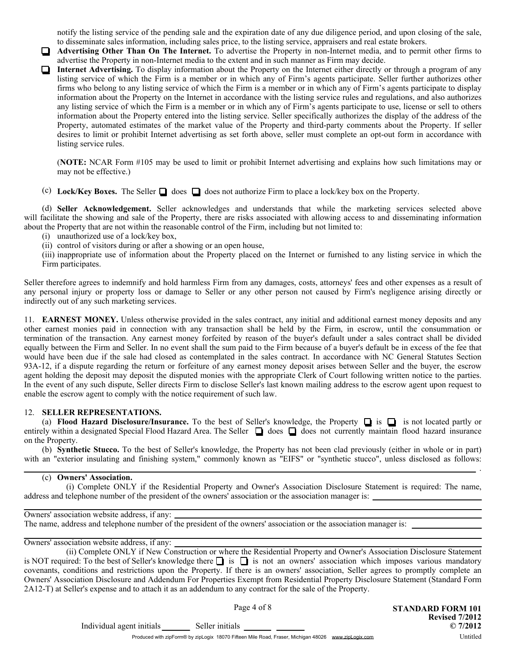notify the listing service of the pending sale and the expiration date of any due diligence period, and upon closing of the sale, to disseminate sales information, including sales price, to the listing service, appraisers and real estate brokers.

**Advertising Other Than On The Internet.** To advertise the Property in non-Internet media, and to permit other firms to advertise the Property in non-Internet media to the extent and in such manner as Firm may decide.

**Internet Advertising.** To display information about the Property on the Internet either directly or through a program of any listing service of which the Firm is a member or in which any of Firm's agents participate. Seller further authorizes other firms who belong to any listing service of which the Firm is a member or in which any of Firm's agents participate to display information about the Property on the Internet in accordance with the listing service rules and regulations, and also authorizes any listing service of which the Firm is a member or in which any of Firm's agents participate to use, license or sell to others information about the Property entered into the listing service. Seller specifically authorizes the display of the address of the Property, automated estimates of the market value of the Property and third-party comments about the Property. If seller desires to limit or prohibit Internet advertising as set forth above, seller must complete an opt-out form in accordance with listing service rules.

(**NOTE:** NCAR Form #105 may be used to limit or prohibit Internet advertising and explains how such limitations may or may not be effective.)

(c) Lock/Key Boxes. The Seller  $\Box$  does  $\Box$  does not authorize Firm to place a lock/key box on the Property.

will facilitate the showing and sale of the Property, there are risks associated with allowing access to and disseminating information about the Property that are not within the reasonable control of the Firm, including but not limited to: **Seller Acknowledgement.** Seller acknowledges and understands that while the marketing services selected above (d)

(i) unauthorized use of a lock/key box,

(ii) control of visitors during or after a showing or an open house,

(iii) inappropriate use of information about the Property placed on the Internet or furnished to any listing service in which the Firm participates.

Seller therefore agrees to indemnify and hold harmless Firm from any damages, costs, attorneys' fees and other expenses as a result of any personal injury or property loss or damage to Seller or any other person not caused by Firm's negligence arising directly or indirectly out of any such marketing services.

11. **EARNEST MONEY.** Unless otherwise provided in the sales contract, any initial and additional earnest money deposits and any other earnest monies paid in connection with any transaction shall be held by the Firm, in escrow, until the consummation or termination of the transaction. Any earnest money forfeited by reason of the buyer's default under a sales contract shall be divided equally between the Firm and Seller. In no event shall the sum paid to the Firm because of a buyer's default be in excess of the fee that would have been due if the sale had closed as contemplated in the sales contract. In accordance with NC General Statutes Section 93A-12, if a dispute regarding the return or forfeiture of any earnest money deposit arises between Seller and the buyer, the escrow agent holding the deposit may deposit the disputed monies with the appropriate Clerk of Court following written notice to the parties. In the event of any such dispute, Seller directs Firm to disclose Seller's last known mailing address to the escrow agent upon request to enable the escrow agent to comply with the notice requirement of such law.

### 12. **SELLER REPRESENTATIONS.**

(a) **Flood Hazard Disclosure/Insurance.** To the best of Seller's knowledge, the Property  $\Box$  is  $\Box$  is not located partly or entirely within a designated Special Flood Hazard Area. The Seller  $\Box$  does  $\Box$  does not currently maintain flood hazard insurance on the Property.

(b) **Synthetic Stucco.** To the best of Seller's knowledge, the Property has not been clad previously (either in whole or in part) with an "exterior insulating and finishing system," commonly known as "EIFS" or "synthetic stucco", unless disclosed as follows:

### (c) **Owners' Association.**

(i) Complete ONLY if the Residential Property and Owner's Association Disclosure Statement is required: The name, address and telephone number of the president of the owners' association or the association manager is:

Owners' association website address, if any:

The name, address and telephone number of the president of the owners' association or the association manager is:

Owners' association website address, if any:

is NOT required: To the best of Seller's knowledge there  $\Box$  is  $\Box$  is not an owners' association which imposes various mandatory (ii) Complete ONLY if New Construction or where the Residential Property and Owner's Association Disclosure Statement covenants, conditions and restrictions upon the Property. If there is an owners' association, Seller agrees to promptly complete an Owners' Association Disclosure and Addendum For Properties Exempt from Residential Property Disclosure Statement (Standard Form 2A12-T) at Seller's expense and to attach it as an addendum to any contract for the sale of the Property.

Individual agent initials **Seller** initials **DE** 

.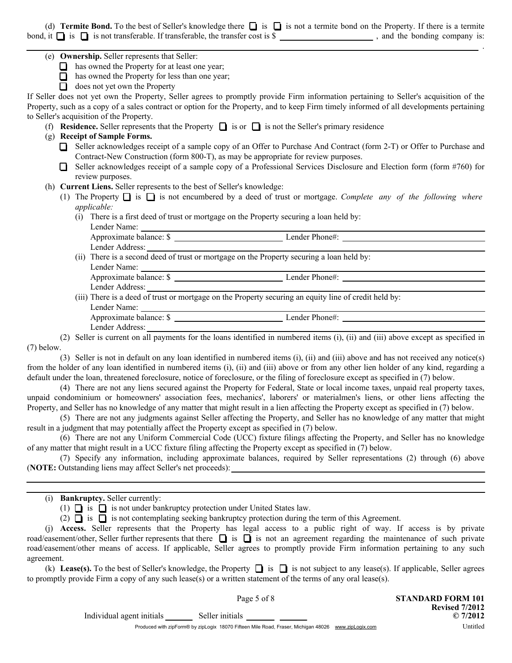| (d) <b>Termite Bond.</b> To the best of Seller's knowledge there $\Box$ is $\Box$ is not a termite bond on the Property. If there is a termite |                             |
|------------------------------------------------------------------------------------------------------------------------------------------------|-----------------------------|
| bond, it $\Box$ is $\Box$ is not transferable. If transferable, the transfer cost is \$                                                        | and the bonding company is: |

| (e) Ownership. Seller represents that Seller: |  |  |
|-----------------------------------------------|--|--|
|                                               |  |  |

□ has owned the Property for at least one year;

 $\Box$  has owned the Property for less than one year;

 $\Box$  does not yet own the Property

If Seller does not yet own the Property, Seller agrees to promptly provide Firm information pertaining to Seller's acquisition of the Property, such as a copy of a sales contract or option for the Property, and to keep Firm timely informed of all developments pertaining to Seller's acquisition of the Property.

(f) **Residence.** Seller represents that the Property  $\Box$  is or  $\Box$  is not the Seller's primary residence

# (g) **Receipt of Sample Forms.**

- Seller acknowledges receipt of a sample copy of an Offer to Purchase And Contract (form 2-T) or Offer to Purchase and Contract-New Construction (form 800-T), as may be appropriate for review purposes.
- Seller acknowledges receipt of a sample copy of a Professional Services Disclosure and Election form (form #760) for review purposes.
- (h) **Current Liens.** Seller represents to the best of Seller's knowledge:
	- (1) The Property  $\Box$  is  $\Box$  is not encumbered by a deed of trust or mortgage. *Complete any of the following where applicable:*
		- (i) There is a first deed of trust or mortgage on the Property securing a loan held by:
		- Lender Name: Approximate balance: \$ Lender Address: (ii) There is a second deed of trust or mortgage on the Property securing a loan held by: Lender Name: Approximate balance: \$ Lender Address: (iii) There is a deed of trust or mortgage on the Property securing an equity line of credit held by: Lender Name: Approximate balance: \$ Lender Phone#: Lender Address:

(2) Seller is current on all payments for the loans identified in numbered items (i), (ii) and (iii) above except as specified in (7) below.

(3) Seller is not in default on any loan identified in numbered items (i), (ii) and (iii) above and has not received any notice(s) from the holder of any loan identified in numbered items (i), (ii) and (iii) above or from any other lien holder of any kind, regarding a default under the loan, threatened foreclosure, notice of foreclosure, or the filing of foreclosure except as specified in (7) below.

(4) There are not any liens secured against the Property for Federal, State or local income taxes, unpaid real property taxes, unpaid condominium or homeowners' association fees, mechanics', laborers' or materialmen's liens, or other liens affecting the Property, and Seller has no knowledge of any matter that might result in a lien affecting the Property except as specified in (7) below.

(5) There are not any judgments against Seller affecting the Property, and Seller has no knowledge of any matter that might result in a judgment that may potentially affect the Property except as specified in (7) below.

(6) There are not any Uniform Commercial Code (UCC) fixture filings affecting the Property, and Seller has no knowledge of any matter that might result in a UCC fixture filing affecting the Property except as specified in (7) below.

(7) Specify any information, including approximate balances, required by Seller representations (2) through (6) above (**NOTE:** Outstanding liens may affect Seller's net proceeds):

(i) **Bankruptcy.** Seller currently:

(1)  $\Box$  is  $\Box$  is not under bankruptcy protection under United States law.

(2)  $\Box$  is  $\Box$  is not contemplating seeking bankruptcy protection during the term of this Agreement.

(j) **Access.** Seller represents that the Property has legal access to a public right of way. If access is by private road/easement/other, Seller further represents that there  $\Box$  is  $\Box$  is not an agreement regarding the maintenance of such private road/easement/other means of access. If applicable, Seller agrees to promptly provide Firm information pertaining to any such agreement.

(k) Lease(s). To the best of Seller's knowledge, the Property  $\Box$  is  $\Box$  is not subject to any lease(s). If applicable, Seller agrees to promptly provide Firm a copy of any such lease(s) or a written statement of the terms of any oral lease(s).

.

Individual agent initials Seller initials

Produced with zipForm® by zipLogix 18070 Fifteen Mile Road, Fraser, Michigan 48026 www.zipLogix.com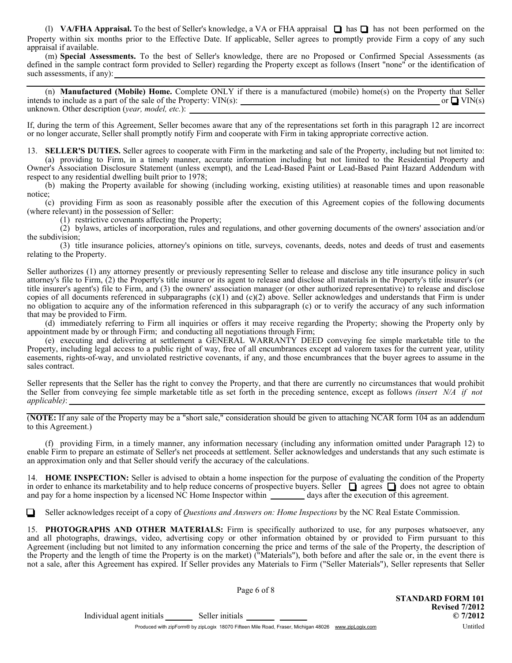(l) **VA/FHA Appraisal.** To the best of Seller's knowledge, a VA or FHA appraisal  $\Box$  has  $\Box$  has not been performed on the Property within six months prior to the Effective Date. If applicable, Seller agrees to promptly provide Firm a copy of any such appraisal if available.

(m) **Special Assessments.** To the best of Seller's knowledge, there are no Proposed or Confirmed Special Assessments (as defined in the sample contract form provided to Seller) regarding the Property except as follows (Insert "none" or the identification of such assessments, if any):

(n) **Manufactured (Mobile) Home.** Complete ONLY if there is a manufactured (mobile) home(s) on the Property that Seller intends to include as a part of the sale of the Property: VIN(s): unknown. Other description (*year, model, etc.*): or  $\Box$  VIN(s)

If, during the term of this Agreement, Seller becomes aware that any of the representations set forth in this paragraph 12 are incorrect or no longer accurate, Seller shall promptly notify Firm and cooperate with Firm in taking appropriate corrective action.

13. **SELLER'S DUTIES.** Seller agrees to cooperate with Firm in the marketing and sale of the Property, including but not limited to: (a) providing to Firm, in a timely manner, accurate information including but not limited to the Residential Property and Owner's Association Disclosure Statement (unless exempt), and the Lead-Based Paint or Lead-Based Paint Hazard Addendum with respect to any residential dwelling built prior to 1978;

(b) making the Property available for showing (including working, existing utilities) at reasonable times and upon reasonable notice;

(c) providing Firm as soon as reasonably possible after the execution of this Agreement copies of the following documents (where relevant) in the possession of Seller:

(1) restrictive covenants affecting the Property;

(2) bylaws, articles of incorporation, rules and regulations, and other governing documents of the owners' association and/or the subdivision;

(3) title insurance policies, attorney's opinions on title, surveys, covenants, deeds, notes and deeds of trust and easements relating to the Property.

Seller authorizes (1) any attorney presently or previously representing Seller to release and disclose any title insurance policy in such attorney's file to Firm, (2) the Property's title insurer or its agent to release and disclose all materials in the Property's title insurer's (or title insurer's agent's) file to Firm, and (3) the owners' association manager (or other authorized representative) to release and disclose copies of all documents referenced in subparagraphs  $(c)(1)$  and  $(c)(2)$  above. Seller acknowledges and understands that Firm is under no obligation to acquire any of the information referenced in this subparagraph (c) or to verify the accuracy of any such information that may be provided to Firm.

(d) immediately referring to Firm all inquiries or offers it may receive regarding the Property; showing the Property only by appointment made by or through Firm; and conducting all negotiations through Firm;

(e) executing and delivering at settlement a GENERAL WARRANTY DEED conveying fee simple marketable title to the Property, including legal access to a public right of way, free of all encumbrances except ad valorem taxes for the current year, utility easements, rights-of-way, and unviolated restrictive covenants, if any, and those encumbrances that the buyer agrees to assume in the sales contract.

Seller represents that the Seller has the right to convey the Property, and that there are currently no circumstances that would prohibit the Seller from conveying fee simple marketable title as set forth in the preceding sentence, except as follows *(insert N/A if not applicable)*:

(**NOTE:** If any sale of the Property may be a "short sale," consideration should be given to attaching NCAR form 104 as an addendum to this Agreement.)

(f) providing Firm, in a timely manner, any information necessary (including any information omitted under Paragraph 12) to enable Firm to prepare an estimate of Seller's net proceeds at settlement. Seller acknowledges and understands that any such estimate is an approximation only and that Seller should verify the accuracy of the calculations.

14. **HOME INSPECTION:** Seller is advised to obtain a home inspection for the purpose of evaluating the condition of the Property in order to enhance its marketability and to help reduce concerns of prospective buyers. Seller  $\Box$  agrees  $\Box$  does not agree to obtain and pay for a home inspection by a licensed NC Home Inspector within days after the execution of this agreement.

Seller acknowledges receipt of a copy of *Questions and Answers on: Home Inspections* by the NC Real Estate Commission.

15. **PHOTOGRAPHS AND OTHER MATERIALS:** Firm is specifically authorized to use, for any purposes whatsoever, any and all photographs, drawings, video, advertising copy or other information obtained by or provided to Firm pursuant to this Agreement (including but not limited to any information concerning the price and terms of the sale of the Property, the description of the Property and the length of time the Property is on the market) ("Materials"), both before and after the sale or, in the event there is not a sale, after this Agreement has expired. If Seller provides any Materials to Firm ("Seller Materials"), Seller represents that Seller

Page 6 of 8

Individual agent initials Seller initials

Produced with zipForm® by zipLogix 18070 Fifteen Mile Road, Fraser, Michigan 48026 www.zipLogix.com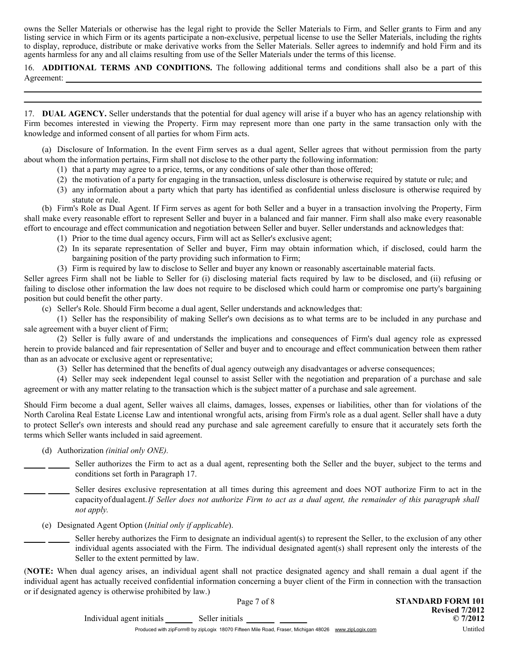owns the Seller Materials or otherwise has the legal right to provide the Seller Materials to Firm, and Seller grants to Firm and any listing service in which Firm or its agents participate a non-exclusive, perpetual license to use the Seller Materials, including the rights to display, reproduce, distribute or make derivative works from the Seller Materials. Seller agrees to indemnify and hold Firm and its agents harmless for any and all claims resulting from use of the Seller Materials under the terms of this license.

16. **ADDITIONAL TERMS AND CONDITIONS.** The following additional terms and conditions shall also be a part of this Agreement:

17. **DUAL AGENCY.** Seller understands that the potential for dual agency will arise if a buyer who has an agency relationship with Firm becomes interested in viewing the Property. Firm may represent more than one party in the same transaction only with the knowledge and informed consent of all parties for whom Firm acts.

(a) Disclosure of Information. In the event Firm serves as a dual agent, Seller agrees that without permission from the party about whom the information pertains, Firm shall not disclose to the other party the following information:

- (1) that a party may agree to a price, terms, or any conditions of sale other than those offered;
- (2) the motivation of a party for engaging in the transaction, unless disclosure is otherwise required by statute or rule; and
- (3) any information about a party which that party has identified as confidential unless disclosure is otherwise required by statute or rule.

(b) Firm's Role as Dual Agent. If Firm serves as agent for both Seller and a buyer in a transaction involving the Property, Firm shall make every reasonable effort to represent Seller and buyer in a balanced and fair manner. Firm shall also make every reasonable effort to encourage and effect communication and negotiation between Seller and buyer. Seller understands and acknowledges that:

- (1) Prior to the time dual agency occurs, Firm will act as Seller's exclusive agent;
- (2) In its separate representation of Seller and buyer, Firm may obtain information which, if disclosed, could harm the bargaining position of the party providing such information to Firm;
- (3) Firm is required by law to disclose to Seller and buyer any known or reasonably ascertainable material facts.

Seller agrees Firm shall not be liable to Seller for (i) disclosing material facts required by law to be disclosed, and (ii) refusing or failing to disclose other information the law does not require to be disclosed which could harm or compromise one party's bargaining position but could benefit the other party.

(c) Seller's Role. Should Firm become a dual agent, Seller understands and acknowledges that:

(1) Seller has the responsibility of making Seller's own decisions as to what terms are to be included in any purchase and sale agreement with a buyer client of Firm;

(2) Seller is fully aware of and understands the implications and consequences of Firm's dual agency role as expressed herein to provide balanced and fair representation of Seller and buyer and to encourage and effect communication between them rather than as an advocate or exclusive agent or representative;

(3) Seller has determined that the benefits of dual agency outweigh any disadvantages or adverse consequences;

(4) Seller may seek independent legal counsel to assist Seller with the negotiation and preparation of a purchase and sale agreement or with any matter relating to the transaction which is the subject matter of a purchase and sale agreement.

Should Firm become a dual agent, Seller waives all claims, damages, losses, expenses or liabilities, other than for violations of the North Carolina Real Estate License Law and intentional wrongful acts, arising from Firm's role as a dual agent. Seller shall have a duty to protect Seller's own interests and should read any purchase and sale agreement carefully to ensure that it accurately sets forth the terms which Seller wants included in said agreement.

(d) Authorization *(initial only ONE).*

Seller authorizes the Firm to act as a dual agent, representing both the Seller and the buyer, subject to the terms and conditions set forth in Paragraph 17.

Seller desires exclusive representation at all times during this agreement and does NOT authorize Firm to act in the capacity of dual agent.*If Seller does not authorize Firm to act as a dual agent, the remainder of this paragraph shall not apply.*

(e) Designated Agent Option (*Initial only if applicable*).

Seller hereby authorizes the Firm to designate an individual agent(s) to represent the Seller, to the exclusion of any other individual agents associated with the Firm. The individual designated agent(s) shall represent only the interests of the Seller to the extent permitted by law.

(**NOTE:** When dual agency arises, an individual agent shall not practice designated agency and shall remain a dual agent if the individual agent has actually received confidential information concerning a buyer client of the Firm in connection with the transaction or if designated agency is otherwise prohibited by law.)

Produced with zipForm® by zipLogix 18070 Fifteen Mile Road, Fraser, Michigan 48026 www.zipLogix.com